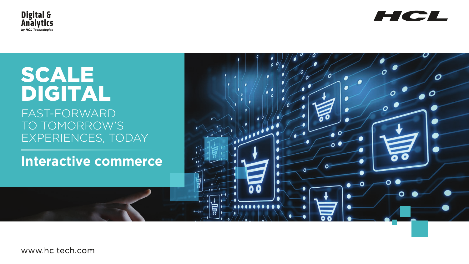

# SCALE DIGITAL FAST-FORWARD TO TOMORROW'S EXPERIENCES, TODAY

# **Interactive commerce**

 $-0+$ 

www.hcltech.com



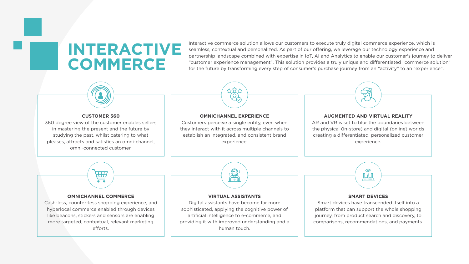# **INTERACTIVE COMMERCE**

Interactive commerce solution allows our customers to execute truly digital commerce experience, which is seamless, contextual and personalized. As part of our offering, we leverage our technology experience and partnership landscape combined with expertise in IoT, AI and Analytics to enable our customer's journey to deliver "customer experience management". This solution provides a truly unique and differentiated "commerce solution" for the future by transforming every step of consumer's purchase journey from an "activity" to an "experience".



### **CUSTOMER 360**

Cash-less, counter-less shopping experience, and hyperlocal commerce enabled through devices like beacons, stickers and sensors are enabling more targeted, contextual, relevant marketing efforts.

360 degree view of the customer enables sellers in mastering the present and the future by studying the past, whilst catering to what pleases, attracts and satisfies an omni-channel, omni-connected customer.

## **FIFA**  $\bullet\bullet$

### **OMNICHANNEL COMMERCE**



providing it with improved understanding and a human touch.

comparisons, recommendations, and payments.